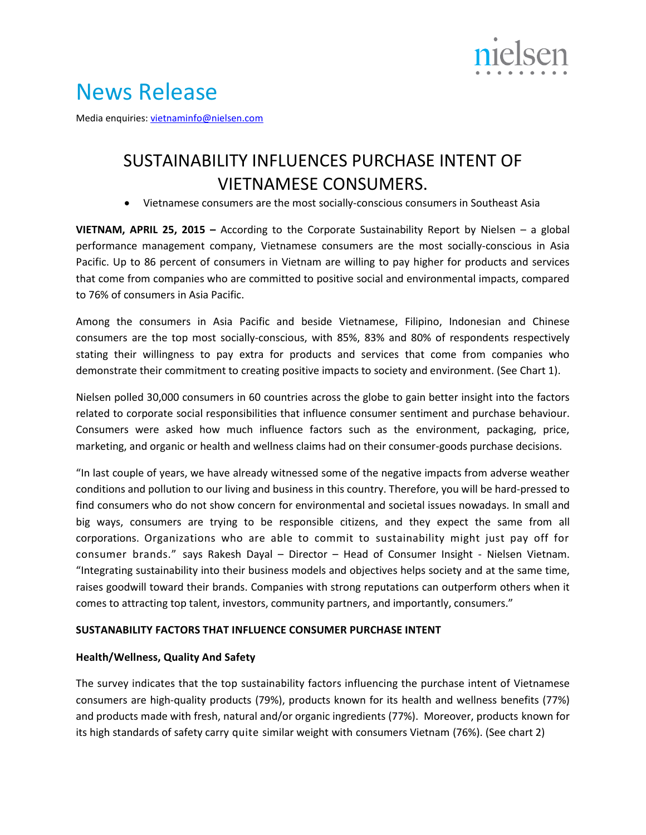

# News Release

Media enquiries: [vietnaminfo@nielsen.com](mailto:vietnaminfo@nielsen.com)

# SUSTAINABILITY INFLUENCES PURCHASE INTENT OF VIETNAMESE CONSUMERS.

Vietnamese consumers are the most socially-conscious consumers in Southeast Asia

**VIETNAM, APRIL 25, 2015 –** According to the Corporate Sustainability Report by Nielsen – a global performance management company, Vietnamese consumers are the most socially-conscious in Asia Pacific. Up to 86 percent of consumers in Vietnam are willing to pay higher for products and services that come from companies who are committed to positive social and environmental impacts, compared to 76% of consumers in Asia Pacific.

Among the consumers in Asia Pacific and beside Vietnamese, Filipino, Indonesian and Chinese consumers are the top most socially-conscious, with 85%, 83% and 80% of respondents respectively stating their willingness to pay extra for products and services that come from companies who demonstrate their commitment to creating positive impacts to society and environment. (See Chart 1).

Nielsen polled 30,000 consumers in 60 countries across the globe to gain better insight into the factors related to corporate social responsibilities that influence consumer sentiment and purchase behaviour. Consumers were asked how much influence factors such as the environment, packaging, price, marketing, and organic or health and wellness claims had on their consumer-goods purchase decisions.

"In last couple of years, we have already witnessed some of the negative impacts from adverse weather conditions and pollution to our living and business in this country. Therefore, you will be hard-pressed to find consumers who do not show concern for environmental and societal issues nowadays. In small and big ways, consumers are trying to be responsible citizens, and they expect the same from all corporations. Organizations who are able to commit to sustainability might just pay off for consumer brands." says Rakesh Dayal – Director – Head of Consumer Insight - Nielsen Vietnam. "Integrating sustainability into their business models and objectives helps society and at the same time, raises goodwill toward their brands. Companies with strong reputations can outperform others when it comes to attracting top talent, investors, community partners, and importantly, consumers."

## **SUSTANABILITY FACTORS THAT INFLUENCE CONSUMER PURCHASE INTENT**

#### **Health/Wellness, Quality And Safety**

The survey indicates that the top sustainability factors influencing the purchase intent of Vietnamese consumers are high-quality products (79%), products known for its health and wellness benefits (77%) and products made with fresh, natural and/or organic ingredients (77%). Moreover, products known for its high standards of safety carry quite similar weight with consumers Vietnam (76%). (See chart 2)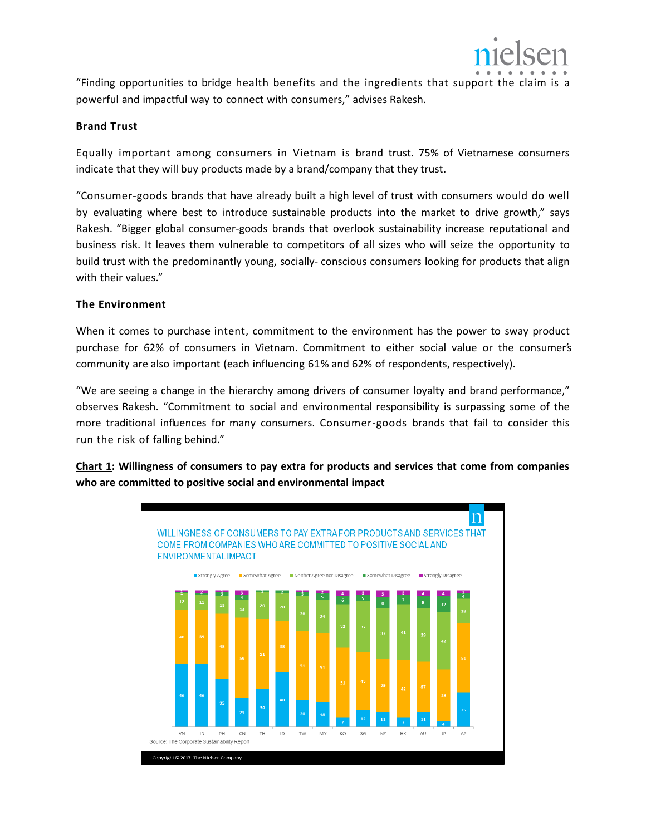

"Finding opportunities to bridge health benefits and the ingredients that support the claim is a powerful and impactful way to connect with consumers," advises Rakesh.

## **Brand Trust**

Equally important among consumers in Vietnam is brand trust. 75% of Vietnamese consumers indicate that they will buy products made by a brand/company that they trust.

"Consumer-goods brands that have already built a high level of trust with consumers would do well by evaluating where best to introduce sustainable products into the market to drive growth," says Rakesh. "Bigger global consumer-goods brands that overlook sustainability increase reputational and business risk. It leaves them vulnerable to competitors of all sizes who will seize the opportunity to build trust with the predominantly young, socially- conscious consumers looking for products that align with their values."

# **The Environment**

When it comes to purchase intent, commitment to the environment has the power to sway product purchase for 62% of consumers in Vietnam. Commitment to either social value or the consumer's community are also important (each influencing 61% and 62% of respondents, respectively).

"We are seeing a change in the hierarchy among drivers of consumer loyalty and brand performance," observes Rakesh. "Commitment to social and environmental responsibility is surpassing some of the more traditional influences for many consumers. Consumer-goods brands that fail to consider this run the risk of falling behind."

**Chart 1: Willingness of consumers to pay extra for products and services that come from companies who are committed to positive social and environmental impact**